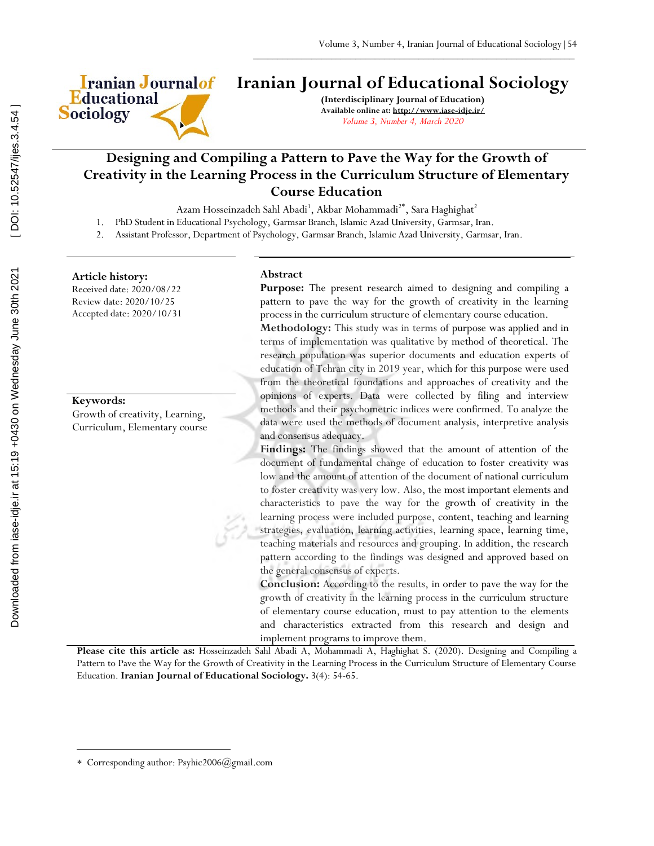

# **Iranian Journal of Educational Sociology**

 $\frac{1}{2}$  ,  $\frac{1}{2}$  ,  $\frac{1}{2}$  ,  $\frac{1}{2}$  ,  $\frac{1}{2}$  ,  $\frac{1}{2}$  ,  $\frac{1}{2}$  ,  $\frac{1}{2}$  ,  $\frac{1}{2}$  ,  $\frac{1}{2}$  ,  $\frac{1}{2}$  ,  $\frac{1}{2}$  ,  $\frac{1}{2}$  ,  $\frac{1}{2}$  ,  $\frac{1}{2}$  ,  $\frac{1}{2}$  ,  $\frac{1}{2}$  ,  $\frac{1}{2}$  ,  $\frac{1$ 

**(Interdisciplinary Journal of Education) Available online at: http://www.iase-idje.ir/** *Volume 3, Number 4, March 2020*

## **Designing and Compiling a Pattern to Pave the Way for the Growth of Creativity in the Learning Process in the Curriculum Structure of Elementary Course Education**

Azam Hosseinzadeh Sahl Abadi<sup>1</sup>, Akbar Mohammadi<sup>2\*</sup>, Sara Haghighat<sup>2</sup>

- 1. PhD Student in Educational Psychology, Garmsar Branch, Islamic Azad University, Garmsar, Iran.
- 2. Assistant Professor, Department of Psychology, Garmsar Branch, Islamic Azad University, Garmsar, Iran.

## **Article history:**

Received date: 2020/08/22 Review date: 2020/10/25 Accepted date: 2020/10/31

#### **Keywords:**

 $\overline{a}$ 

Growth of creativity, Learning, Curriculum, Elementary course

#### **Abstract**

Purpose: The present research aimed to designing and compiling a pattern to pave the way for the growth of creativity in the learning process in the curriculum structure of elementary course education.

**Methodology:** This study was in terms of purpose was applied and in terms of implementation was qualitative by method of theoretical. The research population was superior documents and education experts of education of Tehran city in 2019 year, which for this purpose were used from the theoretical foundations and approaches of creativity and the opinions of experts. Data were collected by filing and interview methods and their psychometric indices were confirmed. To analyze the data were used the methods of document analysis, interpretive analysis and consensus adequacy.

**Findings:** The findings showed that the amount of attention of the document of fundamental change of education to foster creativity was low and the amount of attention of the document of national curriculum to foster creativity was very low. Also, the most important elements and characteristics to pave the way for the growth of creativity in the learning process were included purpose, content, teaching and learning strategies, evaluation, learning activities, learning space, learning time, teaching materials and resources and grouping. In addition, the research pattern according to the findings was designed and approved based on the general consensus of experts.

**Conclusion:** According to the results, in order to pave the way for the growth of creativity in the learning process in the curriculum structure of elementary course education, must to pay attention to the elements and characteristics extracted from this research and design and implement programs to improve them.

**Please cite this article as:** Hosseinzadeh Sahl Abadi A, Mohammadi A, Haghighat S. (2020). Designing and Compiling a Pattern to Pave the Way for the Growth of Creativity in the Learning Process in the Curriculum Structure of Elementary Course Education. **Iranian Journal of Educational Sociology.** 3(4): 54-65.

Corresponding author: Psyhic2006@gmail.com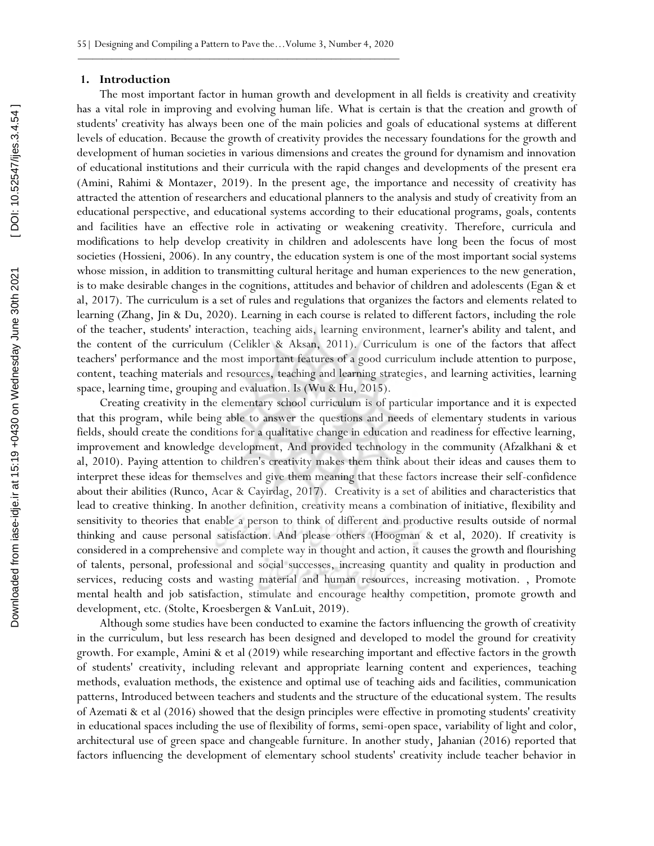#### **1. Introduction**

The most important factor in human growth and development in all fields is creativity and creativity has a vital role in improving and evolving human life. What is certain is that the creation and growth of students' creativity has always been one of the main policies and goals of educational systems at different levels of education. Because the growth of creativity provides the necessary foundations for the growth and development of human societies in various dimensions and creates the ground for dynamism and innovation of educational institutions and their curricula with the rapid changes and developments of the present era (Amini, Rahimi & Montazer, 2019). In the present age, the importance and necessity of creativity has attracted the attention of researchers and educational planners to the analysis and study of creativity from an educational perspective, and educational systems according to their educational programs, goals, contents and facilities have an effective role in activating or weakening creativity. Therefore, curricula and modifications to help develop creativity in children and adolescents have long been the focus of most societies (Hossieni, 2006). In any country, the education system is one of the most important social systems whose mission, in addition to transmitting cultural heritage and human experiences to the new generation, is to make desirable changes in the cognitions, attitudes and behavior of children and adolescents (Egan & et al, 2017). The curriculum is a set of rules and regulations that organizes the factors and elements related to learning (Zhang, Jin & Du, 2020). Learning in each course is related to different factors, including the role of the teacher, students' interaction, teaching aids, learning environment, learner's ability and talent, and the content of the curriculum (Celikler & Aksan, 2011). Curriculum is one of the factors that affect teachers' performance and the most important features of a good curriculum include attention to purpose, content, teaching materials and resources, teaching and learning strategies, and learning activities, learning space, learning time, grouping and evaluation. Is (Wu & Hu, 2015).

Creating creativity in the elementary school curriculum is of particular importance and it is expected that this program, while being able to answer the questions and needs of elementary students in various fields, should create the conditions for a qualitative change in education and readiness for effective learning, improvement and knowledge development, And provided technology in the community (Afzalkhani & et al, 2010). Paying attention to children's creativity makes them think about their ideas and causes them to interpret these ideas for themselves and give them meaning that these factors increase their self-confidence about their abilities (Runco, Acar & Cayirdag, 2017). Creativity is a set of abilities and characteristics that lead to creative thinking. In another definition, creativity means a combination of initiative, flexibility and sensitivity to theories that enable a person to think of different and productive results outside of normal thinking and cause personal satisfaction. And please others (Hoogman & et al, 2020). If creativity is considered in a comprehensive and complete way in thought and action, it causes the growth and flourishing of talents, personal, professional and social successes, increasing quantity and quality in production and services, reducing costs and wasting material and human resources, increasing motivation. , Promote mental health and job satisfaction, stimulate and encourage healthy competition, promote growth and development, etc. (Stolte, Kroesbergen & VanLuit, 2019).

Although some studies have been conducted to examine the factors influencing the growth of creativity in the curriculum, but less research has been designed and developed to model the ground for creativity growth. For example, Amini & et al (2019) while researching important and effective factors in the growth of students' creativity, including relevant and appropriate learning content and experiences, teaching methods, evaluation methods, the existence and optimal use of teaching aids and facilities, communication patterns, Introduced between teachers and students and the structure of the educational system. The results of Azemati & et al (2016) showed that the design principles were effective in promoting students' creativity in educational spaces including the use of flexibility of forms, semi-open space, variability of light and color, architectural use of green space and changeable furniture. In another study, Jahanian (2016) reported that factors influencing the development of elementary school students' creativity include teacher behavior in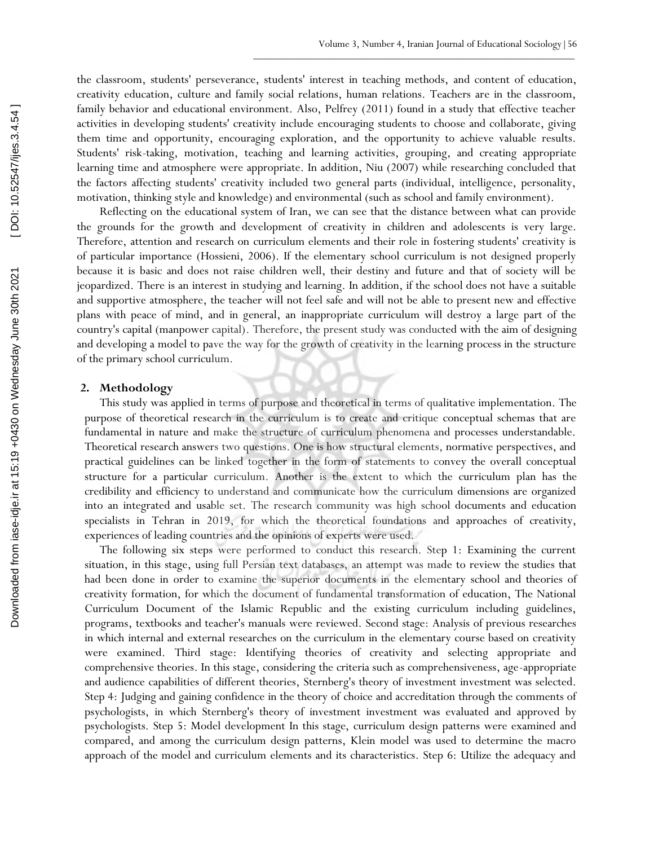the classroom, students' perseverance, students' interest in teaching methods, and content of education, creativity education, culture and family social relations, human relations. Teachers are in the classroom, family behavior and educational environment. Also, Pelfrey (2011) found in a study that effective teacher activities in developing students' creativity include encouraging students to choose and collaborate, giving them time and opportunity, encouraging exploration, and the opportunity to achieve valuable results. Students' risk-taking, motivation, teaching and learning activities, grouping, and creating appropriate learning time and atmosphere were appropriate. In addition, Niu (2007) while researching concluded that the factors affecting students' creativity included two general parts (individual, intelligence, personality, motivation, thinking style and knowledge) and environmental (such as school and family environment).

Reflecting on the educational system of Iran, we can see that the distance between what can provide the grounds for the growth and development of creativity in children and adolescents is very large. Therefore, attention and research on curriculum elements and their role in fostering students' creativity is of particular importance (Hossieni, 2006). If the elementary school curriculum is not designed properly because it is basic and does not raise children well, their destiny and future and that of society will be jeopardized. There is an interest in studying and learning. In addition, if the school does not have a suitable and supportive atmosphere, the teacher will not feel safe and will not be able to present new and effective plans with peace of mind, and in general, an inappropriate curriculum will destroy a large part of the country's capital (manpower capital). Therefore, the present study was conducted with the aim of designing and developing a model to pave the way for the growth of creativity in the learning process in the structure of the primary school curriculum.

## **2. Methodology**

This study was applied in terms of purpose and theoretical in terms of qualitative implementation. The purpose of theoretical research in the curriculum is to create and critique conceptual schemas that are fundamental in nature and make the structure of curriculum phenomena and processes understandable. Theoretical research answers two questions. One is how structural elements, normative perspectives, and practical guidelines can be linked together in the form of statements to convey the overall conceptual structure for a particular curriculum. Another is the extent to which the curriculum plan has the credibility and efficiency to understand and communicate how the curriculum dimensions are organized into an integrated and usable set. The research community was high school documents and education specialists in Tehran in 2019, for which the theoretical foundations and approaches of creativity, experiences of leading countries and the opinions of experts were used.

The following six steps were performed to conduct this research. Step 1: Examining the current situation, in this stage, using full Persian text databases, an attempt was made to review the studies that had been done in order to examine the superior documents in the elementary school and theories of creativity formation, for which the document of fundamental transformation of education, The National Curriculum Document of the Islamic Republic and the existing curriculum including guidelines, programs, textbooks and teacher's manuals were reviewed. Second stage: Analysis of previous researches in which internal and external researches on the curriculum in the elementary course based on creativity were examined. Third stage: Identifying theories of creativity and selecting appropriate and comprehensive theories. In this stage, considering the criteria such as comprehensiveness, age-appropriate and audience capabilities of different theories, Sternberg's theory of investment investment was selected. Step 4: Judging and gaining confidence in the theory of choice and accreditation through the comments of psychologists, in which Sternberg's theory of investment investment was evaluated and approved by psychologists. Step 5: Model development In this stage, curriculum design patterns were examined and compared, and among the curriculum design patterns, Klein model was used to determine the macro approach of the model and curriculum elements and its characteristics. Step 6: Utilize the adequacy and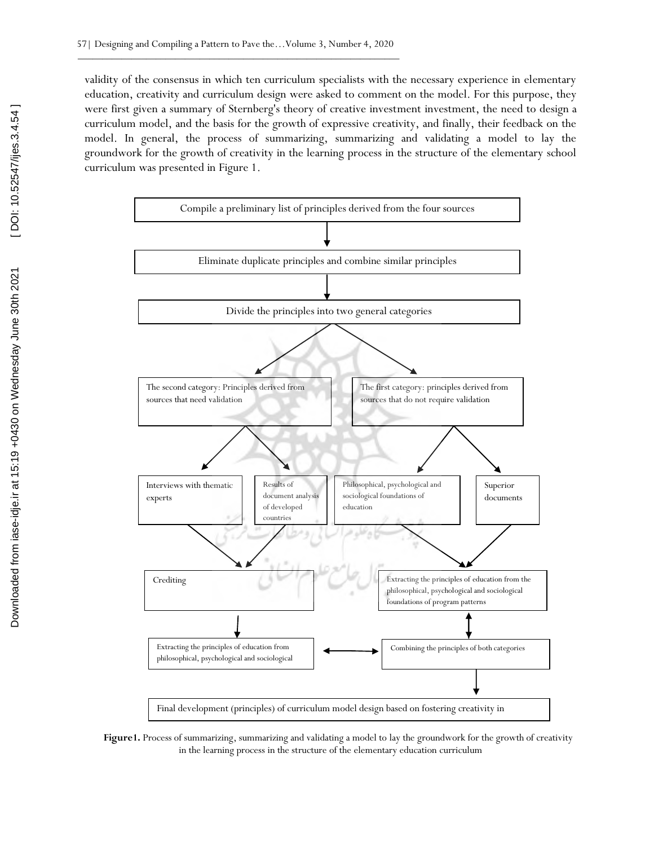validity of the consensus in which ten curriculum specialists with the necessary experience in elementary education, creativity and curriculum design were asked to comment on the model. For this purpose, they were first given a summary of Sternberg's theory of creative investment investment, the need to design a curriculum model, and the basis for the growth of expressive creativity, and finally, their feedback on the model. In general, the process of summarizing, summarizing and validating a model to lay the groundwork for the growth of creativity in the learning process in the structure of the elementary school curriculum was presented in Figure 1.



**Figure1.** Process of summarizing, summarizing and validating a model to lay the groundwork for the growth of creativity in the learning process in the structure of the elementary education curriculum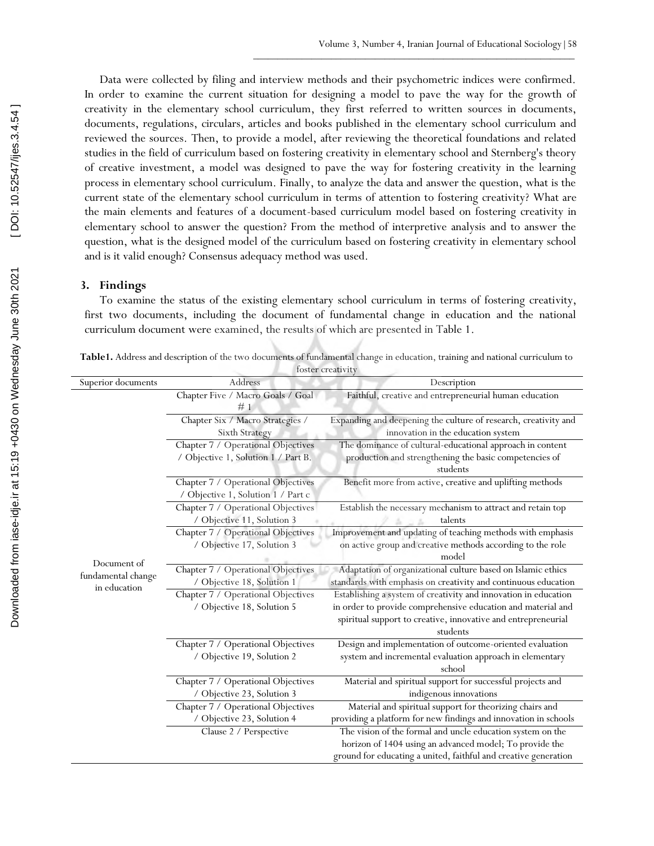Data were collected by filing and interview methods and their psychometric indices were confirmed. In order to examine the current situation for designing a model to pave the way for the growth of creativity in the elementary school curriculum, they first referred to written sources in documents, documents, regulations, circulars, articles and books published in the elementary school curriculum and reviewed the sources. Then, to provide a model, after reviewing the theoretical foundations and related studies in the field of curriculum based on fostering creativity in elementary school and Sternberg's theory of creative investment, a model was designed to pave the way for fostering creativity in the learning process in elementary school curriculum. Finally, to analyze the data and answer the question, what is the current state of the elementary school curriculum in terms of attention to fostering creativity? What are the main elements and features of a document-based curriculum model based on fostering creativity in elementary school to answer the question? From the method of interpretive analysis and to answer the question, what is the designed model of the curriculum based on fostering creativity in elementary school and is it valid enough? Consensus adequacy method was used.

### **3. Findings**

To examine the status of the existing elementary school curriculum in terms of fostering creativity, first two documents, including the document of fundamental change in education and the national curriculum document were examined, the results of which are presented in Table 1.

|                    |                                                                          | foster creativity                                                                                                                 |
|--------------------|--------------------------------------------------------------------------|-----------------------------------------------------------------------------------------------------------------------------------|
| Superior documents | Address                                                                  | Description                                                                                                                       |
|                    | Chapter Five / Macro Goals / Goal<br>#1                                  | Faithful, creative and entrepreneurial human education                                                                            |
|                    | Chapter Six / Macro Strategies /                                         | Expanding and deepening the culture of research, creativity and                                                                   |
|                    | <b>Sixth Strategy</b>                                                    | innovation in the education system                                                                                                |
|                    | Chapter 7 / Operational Objectives                                       | The dominance of cultural-educational approach in content                                                                         |
|                    | / Objective 1, Solution 1 / Part B.                                      | production and strengthening the basic competencies of<br>students                                                                |
|                    | Chapter 7 / Operational Objectives<br>/ Objective 1, Solution 1 / Part c | Benefit more from active, creative and uplifting methods                                                                          |
|                    | Chapter 7 / Operational Objectives<br>/ Objective 11, Solution 3         | Establish the necessary mechanism to attract and retain top<br>talents                                                            |
|                    | Chapter 7 / Operational Objectives<br>/ Objective 17, Solution 3         | Improvement and updating of teaching methods with emphasis<br>on active group and creative methods according to the role<br>model |
| Document of        |                                                                          |                                                                                                                                   |
| fundamental change | Chapter 7 / Operational Objectives<br>/ Objective 18, Solution 1         | Adaptation of organizational culture based on Islamic ethics<br>standards with emphasis on creativity and continuous education    |
| in education       | Chapter 7 / Operational Objectives                                       | Establishing a system of creativity and innovation in education                                                                   |
|                    | / Objective 18, Solution 5                                               | in order to provide comprehensive education and material and                                                                      |
|                    |                                                                          | spiritual support to creative, innovative and entrepreneurial                                                                     |
|                    |                                                                          | students                                                                                                                          |
|                    | Chapter 7 / Operational Objectives                                       | Design and implementation of outcome-oriented evaluation                                                                          |
|                    | / Objective 19, Solution 2                                               | system and incremental evaluation approach in elementary<br>school                                                                |
|                    | Chapter 7 / Operational Objectives                                       | Material and spiritual support for successful projects and                                                                        |
|                    | / Objective 23, Solution 3                                               | indigenous innovations                                                                                                            |
|                    | Chapter 7 / Operational Objectives                                       | Material and spiritual support for theorizing chairs and                                                                          |
|                    | / Objective 23, Solution 4                                               | providing a platform for new findings and innovation in schools                                                                   |
|                    | Clause 2 / Perspective                                                   | The vision of the formal and uncle education system on the                                                                        |
|                    |                                                                          | horizon of 1404 using an advanced model; To provide the                                                                           |
|                    |                                                                          | ground for educating a united, faithful and creative generation                                                                   |

**Table1.** Address and description of the two documents of fundamental change in education, training and national curriculum to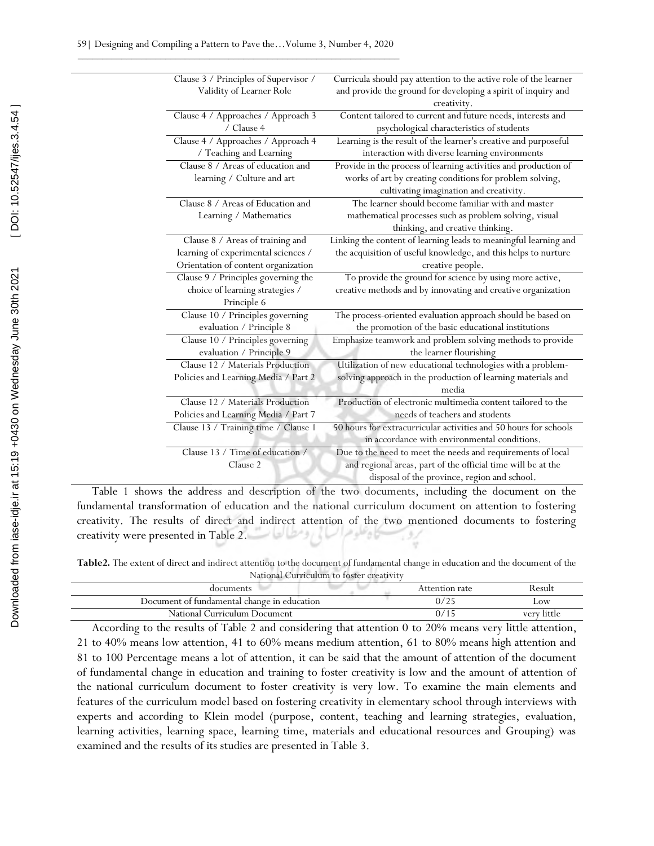| Clause 3 / Principles of Supervisor / | Curricula should pay attention to the active role of the learner |
|---------------------------------------|------------------------------------------------------------------|
| Validity of Learner Role              | and provide the ground for developing a spirit of inquiry and    |
|                                       | creativity.                                                      |
| Clause 4 / Approaches / Approach 3    | Content tailored to current and future needs, interests and      |
| / Clause 4                            | psychological characteristics of students                        |
| Clause 4 / Approaches / Approach 4    | Learning is the result of the learner's creative and purposeful  |
| / Teaching and Learning               | interaction with diverse learning environments                   |
| Clause 8 / Areas of education and     | Provide in the process of learning activities and production of  |
| learning / Culture and art            | works of art by creating conditions for problem solving,         |
|                                       | cultivating imagination and creativity.                          |
| Clause 8 / Areas of Education and     | The learner should become familiar with and master               |
| Learning / Mathematics                | mathematical processes such as problem solving, visual           |
|                                       | thinking, and creative thinking.                                 |
| Clause 8 / Areas of training and      | Linking the content of learning leads to meaningful learning and |
| learning of experimental sciences /   | the acquisition of useful knowledge, and this helps to nurture   |
| Orientation of content organization   | creative people.                                                 |
| Clause 9 / Principles governing the   | To provide the ground for science by using more active,          |
| choice of learning strategies /       | creative methods and by innovating and creative organization     |
| Principle 6                           |                                                                  |
| Clause 10 / Principles governing      | The process-oriented evaluation approach should be based on      |
| evaluation / Principle 8              | the promotion of the basic educational institutions              |
| Clause 10 / Principles governing      | Emphasize teamwork and problem solving methods to provide        |
| evaluation / Principle 9              | the learner flourishing                                          |
| Clause 12 / Materials Production      | Utilization of new educational technologies with a problem-      |
| Policies and Learning Media / Part 2  | solving approach in the production of learning materials and     |
|                                       | media                                                            |
| Clause 12 / Materials Production      | Production of electronic multimedia content tailored to the      |
| Policies and Learning Media / Part 7  | needs of teachers and students                                   |
| Clause 13 / Training time / Clause 1  | 50 hours for extracurricular activities and 50 hours for schools |
|                                       | in accordance with environmental conditions.                     |
| Clause 13 / Time of education /       | Due to the need to meet the needs and requirements of local      |
| Clause 2                              | and regional areas, part of the official time will be at the     |
|                                       | disposal of the province, region and school.                     |

Table 1 shows the address and description of the two documents, including the document on the fundamental transformation of education and the national curriculum document on attention to fostering creativity. The results of direct and indirect attention of the two mentioned documents to fostering creativity were presented in Table 2.

**Table2.** The extent of direct and indirect attention to the document of fundamental change in education and the document of the National Curriculum to foster creativity

| documents                                   | Attention rate | Result         |
|---------------------------------------------|----------------|----------------|
| Document of fundamental change in education | 0/25           | $_{\rm{.OW}}$  |
| National Curriculum Document                | 07             | little<br>verv |

According to the results of Table 2 and considering that attention 0 to 20% means very little attention, 21 to 40% means low attention, 41 to 60% means medium attention, 61 to 80% means high attention and 81 to 100 Percentage means a lot of attention, it can be said that the amount of attention of the document of fundamental change in education and training to foster creativity is low and the amount of attention of the national curriculum document to foster creativity is very low. To examine the main elements and features of the curriculum model based on fostering creativity in elementary school through interviews with experts and according to Klein model (purpose, content, teaching and learning strategies, evaluation, learning activities, learning space, learning time, materials and educational resources and Grouping) was examined and the results of its studies are presented in Table 3.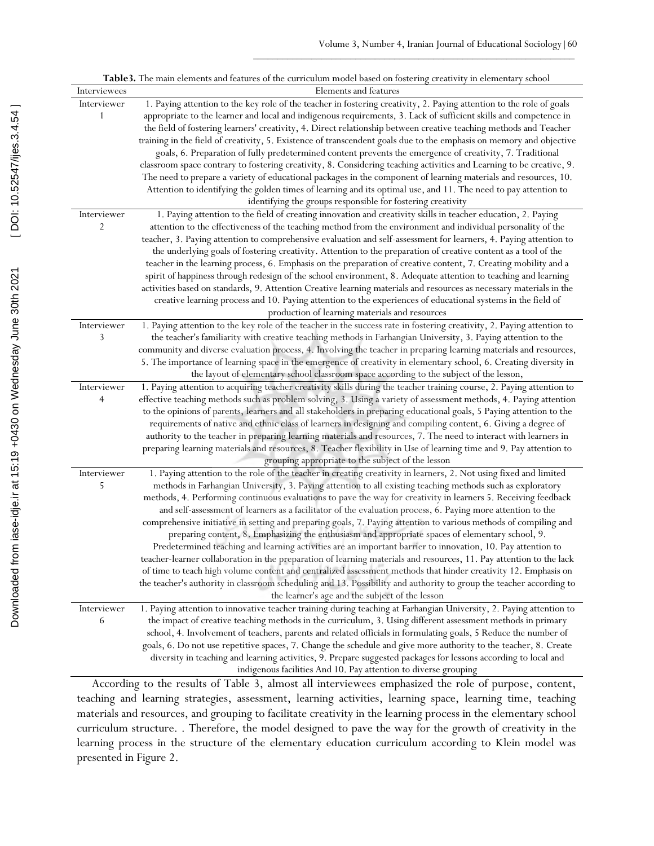| Table 3. The main elements and features of the curriculum model based on fostering creativity in elementary school |                                                                                                                        |  |  |  |
|--------------------------------------------------------------------------------------------------------------------|------------------------------------------------------------------------------------------------------------------------|--|--|--|
| Interviewees                                                                                                       | Elements and features                                                                                                  |  |  |  |
| Interviewer                                                                                                        | 1. Paying attention to the key role of the teacher in fostering creativity, 2. Paying attention to the role of goals   |  |  |  |
| 1                                                                                                                  | appropriate to the learner and local and indigenous requirements, 3. Lack of sufficient skills and competence in       |  |  |  |
|                                                                                                                    | the field of fostering learners' creativity, 4. Direct relationship between creative teaching methods and Teacher      |  |  |  |
|                                                                                                                    | training in the field of creativity, 5. Existence of transcendent goals due to the emphasis on memory and objective    |  |  |  |
|                                                                                                                    | goals, 6. Preparation of fully predetermined content prevents the emergence of creativity, 7. Traditional              |  |  |  |
|                                                                                                                    | classroom space contrary to fostering creativity, 8. Considering teaching activities and Learning to be creative, 9.   |  |  |  |
|                                                                                                                    | The need to prepare a variety of educational packages in the component of learning materials and resources, 10.        |  |  |  |
|                                                                                                                    | Attention to identifying the golden times of learning and its optimal use, and 11. The need to pay attention to        |  |  |  |
|                                                                                                                    | identifying the groups responsible for fostering creativity                                                            |  |  |  |
| Interviewer                                                                                                        | 1. Paying attention to the field of creating innovation and creativity skills in teacher education, 2. Paying          |  |  |  |
| 2                                                                                                                  | attention to the effectiveness of the teaching method from the environment and individual personality of the           |  |  |  |
|                                                                                                                    | teacher, 3. Paying attention to comprehensive evaluation and self-assessment for learners, 4. Paying attention to      |  |  |  |
|                                                                                                                    | the underlying goals of fostering creativity. Attention to the preparation of creative content as a tool of the        |  |  |  |
|                                                                                                                    | teacher in the learning process, 6. Emphasis on the preparation of creative content, 7. Creating mobility and a        |  |  |  |
|                                                                                                                    | spirit of happiness through redesign of the school environment, 8. Adequate attention to teaching and learning         |  |  |  |
|                                                                                                                    | activities based on standards, 9. Attention Creative learning materials and resources as necessary materials in the    |  |  |  |
|                                                                                                                    | creative learning process and 10. Paying attention to the experiences of educational systems in the field of           |  |  |  |
|                                                                                                                    | production of learning materials and resources                                                                         |  |  |  |
| Interviewer                                                                                                        | 1. Paying attention to the key role of the teacher in the success rate in fostering creativity, 2. Paying attention to |  |  |  |
| 3                                                                                                                  | the teacher's familiarity with creative teaching methods in Farhangian University, 3. Paying attention to the          |  |  |  |
|                                                                                                                    | community and diverse evaluation process, 4. Involving the teacher in preparing learning materials and resources,      |  |  |  |
|                                                                                                                    | 5. The importance of learning space in the emergence of creativity in elementary school, 6. Creating diversity in      |  |  |  |
|                                                                                                                    | the layout of elementary school classroom space according to the subject of the lesson,                                |  |  |  |
| Interviewer                                                                                                        | 1. Paying attention to acquiring teacher creativity skills during the teacher training course, 2. Paying attention to  |  |  |  |
| $\overline{4}$                                                                                                     | effective teaching methods such as problem solving, 3. Using a variety of assessment methods, 4. Paying attention      |  |  |  |
|                                                                                                                    | to the opinions of parents, learners and all stakeholders in preparing educational goals, 5 Paying attention to the    |  |  |  |
|                                                                                                                    | requirements of native and ethnic class of learners in designing and compiling content, 6. Giving a degree of          |  |  |  |
|                                                                                                                    | authority to the teacher in preparing learning materials and resources, 7. The need to interact with learners in       |  |  |  |
|                                                                                                                    | preparing learning materials and resources, 8. Teacher flexibility in Use of learning time and 9. Pay attention to     |  |  |  |
|                                                                                                                    | grouping appropriate to the subject of the lesson                                                                      |  |  |  |
| Interviewer                                                                                                        | 1. Paying attention to the role of the teacher in creating creativity in learners, 2. Not using fixed and limited      |  |  |  |
| 5                                                                                                                  | methods in Farhangian University, 3. Paying attention to all existing teaching methods such as exploratory             |  |  |  |
|                                                                                                                    | methods, 4. Performing continuous evaluations to pave the way for creativity in learners 5. Receiving feedback         |  |  |  |
|                                                                                                                    | and self-assessment of learners as a facilitator of the evaluation process, 6. Paying more attention to the            |  |  |  |
|                                                                                                                    | comprehensive initiative in setting and preparing goals, 7. Paying attention to various methods of compiling and       |  |  |  |
|                                                                                                                    | preparing content, 8. Emphasizing the enthusiasm and appropriate spaces of elementary school, 9.                       |  |  |  |
|                                                                                                                    | Predetermined teaching and learning activities are an important barrier to innovation, 10. Pay attention to            |  |  |  |
|                                                                                                                    | teacher-learner collaboration in the preparation of learning materials and resources, 11. Pay attention to the lack    |  |  |  |
|                                                                                                                    | of time to teach high volume content and centralized assessment methods that hinder creativity 12. Emphasis on         |  |  |  |
|                                                                                                                    | the teacher's authority in classroom scheduling and 13. Possibility and authority to group the teacher according to    |  |  |  |
|                                                                                                                    | the learner's age and the subject of the lesson                                                                        |  |  |  |
| Interviewer                                                                                                        | 1. Paying attention to innovative teacher training during teaching at Farhangian University, 2. Paying attention to    |  |  |  |
| 6                                                                                                                  | the impact of creative teaching methods in the curriculum, 3. Using different assessment methods in primary            |  |  |  |
|                                                                                                                    | school, 4. Involvement of teachers, parents and related officials in formulating goals, 5 Reduce the number of         |  |  |  |
|                                                                                                                    | goals, 6. Do not use repetitive spaces, 7. Change the schedule and give more authority to the teacher, 8. Create       |  |  |  |
|                                                                                                                    | diversity in teaching and learning activities, 9. Prepare suggested packages for lessons according to local and        |  |  |  |
|                                                                                                                    | indigenous facilities And 10. Pay attention to diverse grouping                                                        |  |  |  |

According to the results of Table 3, almost all interviewees emphasized the role of purpose, content, teaching and learning strategies, assessment, learning activities, learning space, learning time, teaching materials and resources, and grouping to facilitate creativity in the learning process in the elementary school curriculum structure. . Therefore, the model designed to pave the way for the growth of creativity in the learning process in the structure of the elementary education curriculum according to Klein model was presented in Figure 2.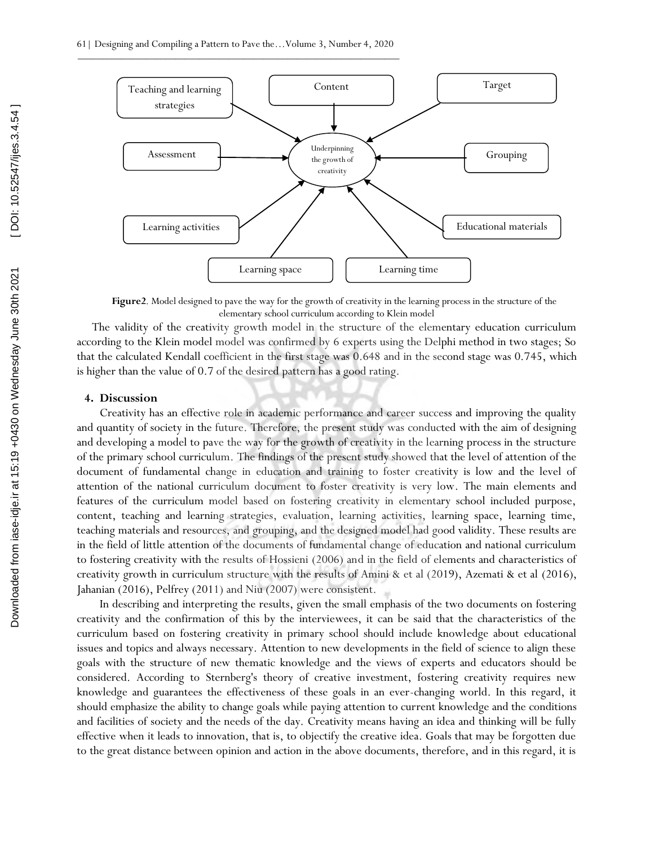

**Figure2**. Model designed to pave the way for the growth of creativity in the learning process in the structure of the elementary school curriculum according to Klein model

The validity of the creativity growth model in the structure of the elementary education curriculum according to the Klein model model was confirmed by 6 experts using the Delphi method in two stages; So that the calculated Kendall coefficient in the first stage was 0.648 and in the second stage was 0.745, which is higher than the value of 0.7 of the desired pattern has a good rating.

#### **4. Discussion**

Creativity has an effective role in academic performance and career success and improving the quality and quantity of society in the future. Therefore, the present study was conducted with the aim of designing and developing a model to pave the way for the growth of creativity in the learning process in the structure of the primary school curriculum. The findings of the present study showed that the level of attention of the document of fundamental change in education and training to foster creativity is low and the level of attention of the national curriculum document to foster creativity is very low. The main elements and features of the curriculum model based on fostering creativity in elementary school included purpose, content, teaching and learning strategies, evaluation, learning activities, learning space, learning time, teaching materials and resources, and grouping, and the designed model had good validity. These results are in the field of little attention of the documents of fundamental change of education and national curriculum to fostering creativity with the results of Hossieni (2006) and in the field of elements and characteristics of creativity growth in curriculum structure with the results of Amini & et al (2019), Azemati & et al (2016), Jahanian (2016), Pelfrey (2011) and Niu (2007) were consistent.

In describing and interpreting the results, given the small emphasis of the two documents on fostering creativity and the confirmation of this by the interviewees, it can be said that the characteristics of the curriculum based on fostering creativity in primary school should include knowledge about educational issues and topics and always necessary. Attention to new developments in the field of science to align these goals with the structure of new thematic knowledge and the views of experts and educators should be considered. According to Sternberg's theory of creative investment, fostering creativity requires new knowledge and guarantees the effectiveness of these goals in an ever-changing world. In this regard, it should emphasize the ability to change goals while paying attention to current knowledge and the conditions and facilities of society and the needs of the day. Creativity means having an idea and thinking will be fully effective when it leads to innovation, that is, to objectify the creative idea. Goals that may be forgotten due to the great distance between opinion and action in the above documents, therefore, and in this regard, it is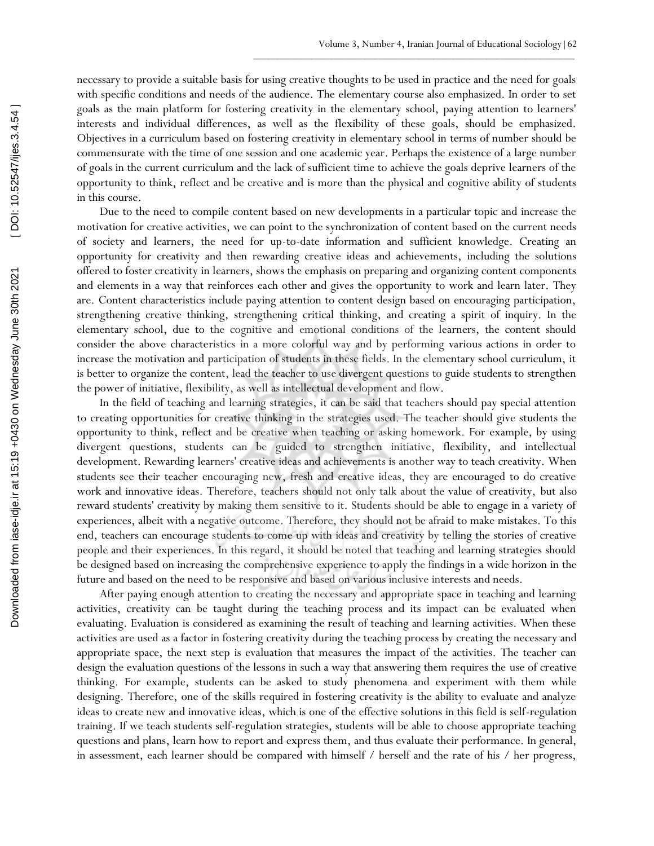necessary to provide a suitable basis for using creative thoughts to be used in practice and the need for goals with specific conditions and needs of the audience. The elementary course also emphasized. In order to set goals as the main platform for fostering creativity in the elementary school, paying attention to learners' interests and individual differences, as well as the flexibility of these goals, should be emphasized. Objectives in a curriculum based on fostering creativity in elementary school in terms of number should be commensurate with the time of one session and one academic year. Perhaps the existence of a large number of goals in the current curriculum and the lack of sufficient time to achieve the goals deprive learners of the opportunity to think, reflect and be creative and is more than the physical and cognitive ability of students in this course.

Due to the need to compile content based on new developments in a particular topic and increase the motivation for creative activities, we can point to the synchronization of content based on the current needs of society and learners, the need for up-to-date information and sufficient knowledge. Creating an opportunity for creativity and then rewarding creative ideas and achievements, including the solutions offered to foster creativity in learners, shows the emphasis on preparing and organizing content components and elements in a way that reinforces each other and gives the opportunity to work and learn later. They are. Content characteristics include paying attention to content design based on encouraging participation, strengthening creative thinking, strengthening critical thinking, and creating a spirit of inquiry. In the elementary school, due to the cognitive and emotional conditions of the learners, the content should consider the above characteristics in a more colorful way and by performing various actions in order to increase the motivation and participation of students in these fields. In the elementary school curriculum, it is better to organize the content, lead the teacher to use divergent questions to guide students to strengthen the power of initiative, flexibility, as well as intellectual development and flow.

In the field of teaching and learning strategies, it can be said that teachers should pay special attention to creating opportunities for creative thinking in the strategies used. The teacher should give students the opportunity to think, reflect and be creative when teaching or asking homework. For example, by using divergent questions, students can be guided to strengthen initiative, flexibility, and intellectual development. Rewarding learners' creative ideas and achievements is another way to teach creativity. When students see their teacher encouraging new, fresh and creative ideas, they are encouraged to do creative work and innovative ideas. Therefore, teachers should not only talk about the value of creativity, but also reward students' creativity by making them sensitive to it. Students should be able to engage in a variety of experiences, albeit with a negative outcome. Therefore, they should not be afraid to make mistakes. To this end, teachers can encourage students to come up with ideas and creativity by telling the stories of creative people and their experiences. In this regard, it should be noted that teaching and learning strategies should be designed based on increasing the comprehensive experience to apply the findings in a wide horizon in the future and based on the need to be responsive and based on various inclusive interests and needs.

After paying enough attention to creating the necessary and appropriate space in teaching and learning activities, creativity can be taught during the teaching process and its impact can be evaluated when evaluating. Evaluation is considered as examining the result of teaching and learning activities. When these activities are used as a factor in fostering creativity during the teaching process by creating the necessary and appropriate space, the next step is evaluation that measures the impact of the activities. The teacher can design the evaluation questions of the lessons in such a way that answering them requires the use of creative thinking. For example, students can be asked to study phenomena and experiment with them while designing. Therefore, one of the skills required in fostering creativity is the ability to evaluate and analyze ideas to create new and innovative ideas, which is one of the effective solutions in this field is self-regulation training. If we teach students self-regulation strategies, students will be able to choose appropriate teaching questions and plans, learn how to report and express them, and thus evaluate their performance. In general, in assessment, each learner should be compared with himself / herself and the rate of his / her progress,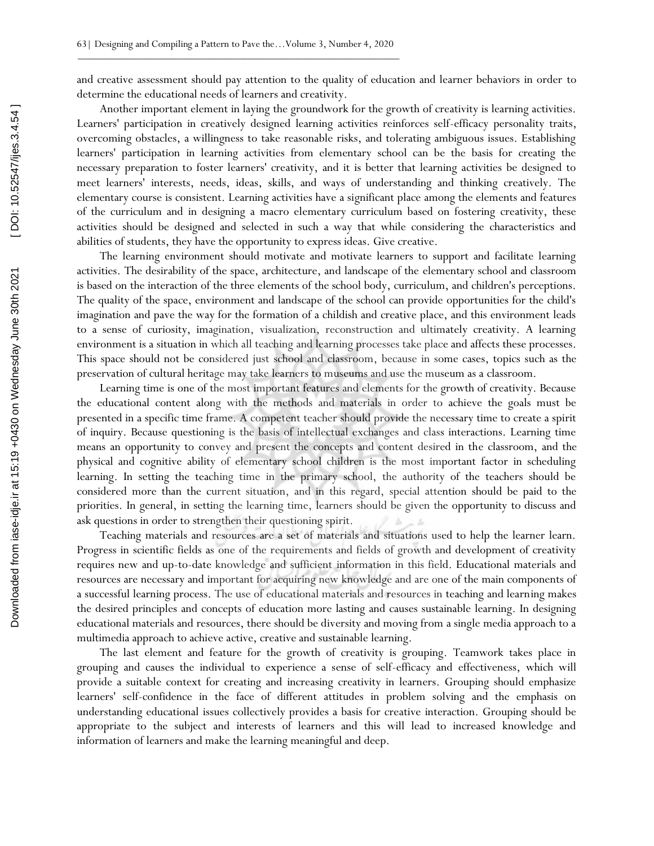and creative assessment should pay attention to the quality of education and learner behaviors in order to determine the educational needs of learners and creativity.

Another important element in laying the groundwork for the growth of creativity is learning activities. Learners' participation in creatively designed learning activities reinforces self-efficacy personality traits, overcoming obstacles, a willingness to take reasonable risks, and tolerating ambiguous issues. Establishing learners' participation in learning activities from elementary school can be the basis for creating the necessary preparation to foster learners' creativity, and it is better that learning activities be designed to meet learners' interests, needs, ideas, skills, and ways of understanding and thinking creatively. The elementary course is consistent. Learning activities have a significant place among the elements and features of the curriculum and in designing a macro elementary curriculum based on fostering creativity, these activities should be designed and selected in such a way that while considering the characteristics and abilities of students, they have the opportunity to express ideas. Give creative.

The learning environment should motivate and motivate learners to support and facilitate learning activities. The desirability of the space, architecture, and landscape of the elementary school and classroom is based on the interaction of the three elements of the school body, curriculum, and children's perceptions. The quality of the space, environment and landscape of the school can provide opportunities for the child's imagination and pave the way for the formation of a childish and creative place, and this environment leads to a sense of curiosity, imagination, visualization, reconstruction and ultimately creativity. A learning environment is a situation in which all teaching and learning processes take place and affects these processes. This space should not be considered just school and classroom, because in some cases, topics such as the preservation of cultural heritage may take learners to museums and use the museum as a classroom.

Learning time is one of the most important features and elements for the growth of creativity. Because the educational content along with the methods and materials in order to achieve the goals must be presented in a specific time frame. A competent teacher should provide the necessary time to create a spirit of inquiry. Because questioning is the basis of intellectual exchanges and class interactions. Learning time means an opportunity to convey and present the concepts and content desired in the classroom, and the physical and cognitive ability of elementary school children is the most important factor in scheduling learning. In setting the teaching time in the primary school, the authority of the teachers should be considered more than the current situation, and in this regard, special attention should be paid to the priorities. In general, in setting the learning time, learners should be given the opportunity to discuss and ask questions in order to strengthen their questioning spirit.

Teaching materials and resources are a set of materials and situations used to help the learner learn. Progress in scientific fields as one of the requirements and fields of growth and development of creativity requires new and up-to-date knowledge and sufficient information in this field. Educational materials and resources are necessary and important for acquiring new knowledge and are one of the main components of a successful learning process. The use of educational materials and resources in teaching and learning makes the desired principles and concepts of education more lasting and causes sustainable learning. In designing educational materials and resources, there should be diversity and moving from a single media approach to a multimedia approach to achieve active, creative and sustainable learning.

The last element and feature for the growth of creativity is grouping. Teamwork takes place in grouping and causes the individual to experience a sense of self-efficacy and effectiveness, which will provide a suitable context for creating and increasing creativity in learners. Grouping should emphasize learners' self-confidence in the face of different attitudes in problem solving and the emphasis on understanding educational issues collectively provides a basis for creative interaction. Grouping should be appropriate to the subject and interests of learners and this will lead to increased knowledge and information of learners and make the learning meaningful and deep.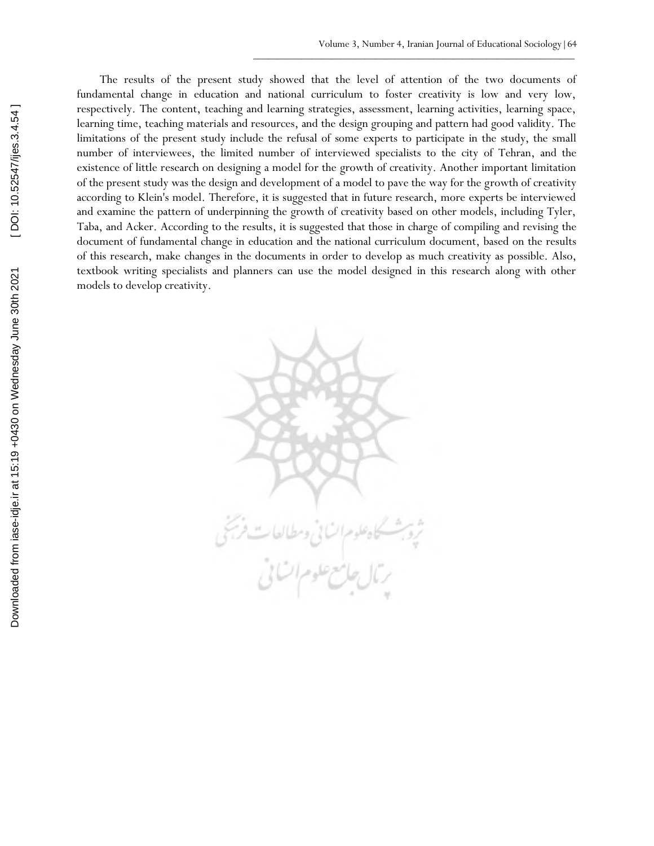The results of the present study showed that the level of attention of the two documents of fundamental change in education and national curriculum to foster creativity is low and very low, respectively. The content, teaching and learning strategies, assessment, learning activities, learning space, learning time, teaching materials and resources, and the design grouping and pattern had good validity. The limitations of the present study include the refusal of some experts to participate in the study, the small number of interviewees, the limited number of interviewed specialists to the city of Tehran, and the existence of little research on designing a model for the growth of creativity. Another important limitation of the present study was the design and development of a model to pave the way for the growth of creativity according to Klein's model. Therefore, it is suggested that in future research, more experts be interviewed and examine the pattern of underpinning the growth of creativity based on other models, including Tyler, Taba, and Acker. According to the results, it is suggested that those in charge of compiling and revising the document of fundamental change in education and the national curriculum document, based on the results of this research, make changes in the documents in order to develop as much creativity as possible. Also, textbook writing specialists and planners can use the model designed in this research along with other models to develop creativity.